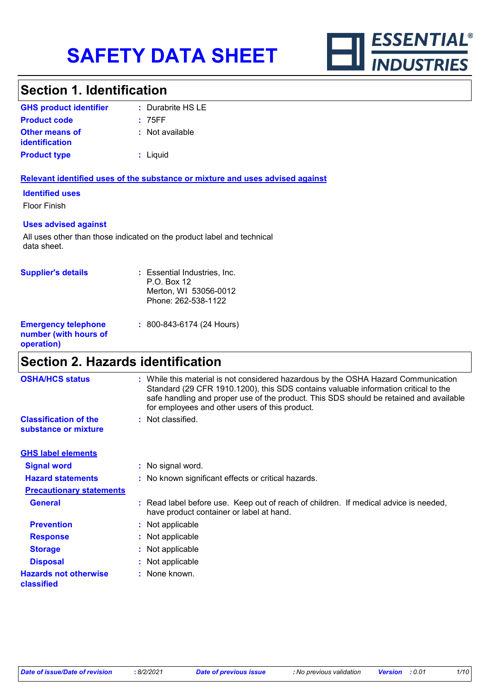

# **Section 1. Identification**

| <b>GHS product identifier</b>                  | $\therefore$ Durabrite HS LE |
|------------------------------------------------|------------------------------|
| <b>Product code</b>                            | : 75FF                       |
| <b>Other means of</b><br><i>identification</i> | : Not available              |
| <b>Product type</b>                            | : Liguid                     |

## **Relevant identified uses of the substance or mixture and uses advised against**

### **Identified uses**

Floor Finish

### **Uses advised against**

All uses other than those indicated on the product label and technical data sheet.

| <b>Supplier's details</b>                                         | : Essential Industries, Inc.<br>P.O. Box 12<br>Merton, WI 53056-0012<br>Phone: 262-538-1122 |
|-------------------------------------------------------------------|---------------------------------------------------------------------------------------------|
| <b>Emergency telephone</b><br>number (with hours of<br>operation) | : 800-843-6174 (24 Hours)                                                                   |

# **Section 2. Hazards identification**

| <b>OSHA/HCS status</b>                               | : While this material is not considered hazardous by the OSHA Hazard Communication<br>Standard (29 CFR 1910.1200), this SDS contains valuable information critical to the<br>safe handling and proper use of the product. This SDS should be retained and available<br>for employees and other users of this product. |
|------------------------------------------------------|-----------------------------------------------------------------------------------------------------------------------------------------------------------------------------------------------------------------------------------------------------------------------------------------------------------------------|
| <b>Classification of the</b><br>substance or mixture | : Not classified.                                                                                                                                                                                                                                                                                                     |
| <b>GHS label elements</b>                            |                                                                                                                                                                                                                                                                                                                       |
| <b>Signal word</b>                                   | : No signal word.                                                                                                                                                                                                                                                                                                     |
| <b>Hazard statements</b>                             | : No known significant effects or critical hazards.                                                                                                                                                                                                                                                                   |
| <b>Precautionary statements</b>                      |                                                                                                                                                                                                                                                                                                                       |
| <b>General</b>                                       | : Read label before use. Keep out of reach of children. If medical advice is needed,<br>have product container or label at hand.                                                                                                                                                                                      |
| <b>Prevention</b>                                    | : Not applicable                                                                                                                                                                                                                                                                                                      |
| <b>Response</b>                                      | : Not applicable                                                                                                                                                                                                                                                                                                      |
| <b>Storage</b>                                       | : Not applicable                                                                                                                                                                                                                                                                                                      |
| <b>Disposal</b>                                      | : Not applicable                                                                                                                                                                                                                                                                                                      |
| <b>Hazards not otherwise</b><br>classified           | : None known.                                                                                                                                                                                                                                                                                                         |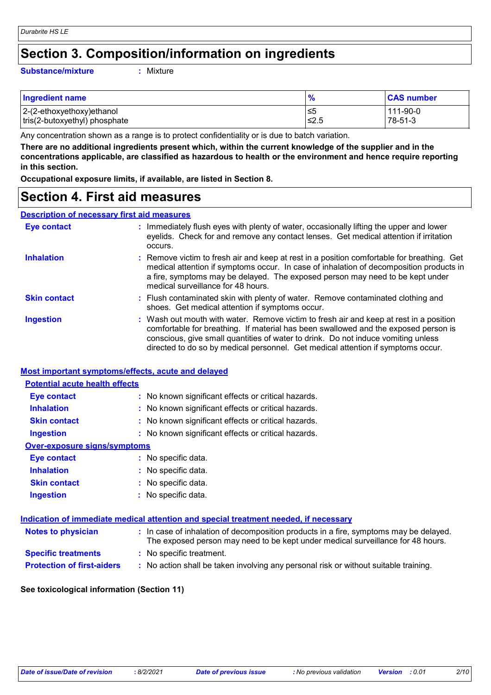# **Section 3. Composition/information on ingredients**

#### **Substance/mixture :**

: Mixture

| <b>Ingredient name</b>        | $\frac{1}{2}$ | <b>CAS number</b> |
|-------------------------------|---------------|-------------------|
| 2-(2-ethoxyethoxy)ethanol     | .≤5           | 111-90-0          |
| tris(2-butoxyethyl) phosphate | 1≤2.5         | 78-51-3           |

Any concentration shown as a range is to protect confidentiality or is due to batch variation.

**There are no additional ingredients present which, within the current knowledge of the supplier and in the concentrations applicable, are classified as hazardous to health or the environment and hence require reporting in this section.**

**Occupational exposure limits, if available, are listed in Section 8.**

# **Section 4. First aid measures**

## **Description of necessary first aid measures**

| <b>Eye contact</b>  | : Immediately flush eyes with plenty of water, occasionally lifting the upper and lower<br>eyelids. Check for and remove any contact lenses. Get medical attention if irritation<br>occurs.                                                                                                                                                            |
|---------------------|--------------------------------------------------------------------------------------------------------------------------------------------------------------------------------------------------------------------------------------------------------------------------------------------------------------------------------------------------------|
| <b>Inhalation</b>   | : Remove victim to fresh air and keep at rest in a position comfortable for breathing. Get<br>medical attention if symptoms occur. In case of inhalation of decomposition products in<br>a fire, symptoms may be delayed. The exposed person may need to be kept under<br>medical surveillance for 48 hours.                                           |
| <b>Skin contact</b> | : Flush contaminated skin with plenty of water. Remove contaminated clothing and<br>shoes. Get medical attention if symptoms occur.                                                                                                                                                                                                                    |
| <b>Ingestion</b>    | : Wash out mouth with water. Remove victim to fresh air and keep at rest in a position<br>comfortable for breathing. If material has been swallowed and the exposed person is<br>conscious, give small quantities of water to drink. Do not induce vomiting unless<br>directed to do so by medical personnel. Get medical attention if symptoms occur. |

## **Most important symptoms/effects, acute and delayed**

| <b>Potential acute health effects</b> |                                                     |
|---------------------------------------|-----------------------------------------------------|
| Eye contact                           | : No known significant effects or critical hazards. |
| <b>Inhalation</b>                     | : No known significant effects or critical hazards. |
| <b>Skin contact</b>                   | : No known significant effects or critical hazards. |
| <b>Ingestion</b>                      | : No known significant effects or critical hazards. |
| <b>Over-exposure signs/symptoms</b>   |                                                     |
| Eye contact                           | : No specific data.                                 |
| <b>Inhalation</b>                     | $:$ No specific data.                               |
| <b>Skin contact</b>                   | : No specific data.                                 |
| <b>Ingestion</b>                      | : No specific data.                                 |
|                                       |                                                     |

| Indication of immediate medical attention and special treatment needed, if necessary |                          |                                                                                                                                                                          |
|--------------------------------------------------------------------------------------|--------------------------|--------------------------------------------------------------------------------------------------------------------------------------------------------------------------|
| <b>Notes to physician</b>                                                            |                          | : In case of inhalation of decomposition products in a fire, symptoms may be delayed.<br>The exposed person may need to be kept under medical surveillance for 48 hours. |
| <b>Specific treatments</b>                                                           | : No specific treatment. |                                                                                                                                                                          |
| <b>Protection of first-aiders</b>                                                    |                          | : No action shall be taken involving any personal risk or without suitable training.                                                                                     |

## **See toxicological information (Section 11)**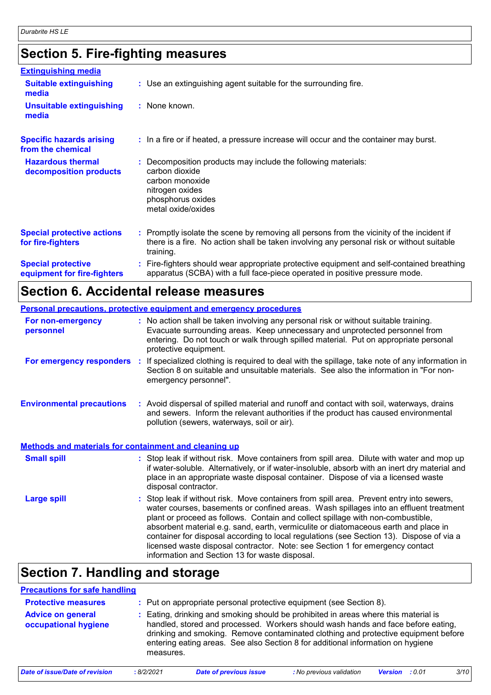# **Section 5. Fire-fighting measures**

| <b>Extinguishing media</b>                               |                                                                                                                                                                                                     |
|----------------------------------------------------------|-----------------------------------------------------------------------------------------------------------------------------------------------------------------------------------------------------|
| <b>Suitable extinguishing</b><br>media                   | : Use an extinguishing agent suitable for the surrounding fire.                                                                                                                                     |
| <b>Unsuitable extinguishing</b><br>media                 | : None known.                                                                                                                                                                                       |
| <b>Specific hazards arising</b><br>from the chemical     | : In a fire or if heated, a pressure increase will occur and the container may burst.                                                                                                               |
| <b>Hazardous thermal</b><br>decomposition products       | Decomposition products may include the following materials:<br>carbon dioxide<br>carbon monoxide<br>nitrogen oxides<br>phosphorus oxides<br>metal oxide/oxides                                      |
| <b>Special protective actions</b><br>for fire-fighters   | : Promptly isolate the scene by removing all persons from the vicinity of the incident if<br>there is a fire. No action shall be taken involving any personal risk or without suitable<br>training. |
| <b>Special protective</b><br>equipment for fire-fighters | : Fire-fighters should wear appropriate protective equipment and self-contained breathing<br>apparatus (SCBA) with a full face-piece operated in positive pressure mode.                            |

# **Section 6. Accidental release measures**

|                                                              | Personal precautions, protective equipment and emergency procedures                                                                                                                                                                                                                                                                                                                                                                                                                                                                                                                      |
|--------------------------------------------------------------|------------------------------------------------------------------------------------------------------------------------------------------------------------------------------------------------------------------------------------------------------------------------------------------------------------------------------------------------------------------------------------------------------------------------------------------------------------------------------------------------------------------------------------------------------------------------------------------|
| For non-emergency<br>personnel                               | : No action shall be taken involving any personal risk or without suitable training.<br>Evacuate surrounding areas. Keep unnecessary and unprotected personnel from<br>entering. Do not touch or walk through spilled material. Put on appropriate personal<br>protective equipment.                                                                                                                                                                                                                                                                                                     |
| For emergency responders :                                   | If specialized clothing is required to deal with the spillage, take note of any information in<br>Section 8 on suitable and unsuitable materials. See also the information in "For non-<br>emergency personnel".                                                                                                                                                                                                                                                                                                                                                                         |
| <b>Environmental precautions</b>                             | : Avoid dispersal of spilled material and runoff and contact with soil, waterways, drains<br>and sewers. Inform the relevant authorities if the product has caused environmental<br>pollution (sewers, waterways, soil or air).                                                                                                                                                                                                                                                                                                                                                          |
| <b>Methods and materials for containment and cleaning up</b> |                                                                                                                                                                                                                                                                                                                                                                                                                                                                                                                                                                                          |
| <b>Small spill</b>                                           | : Stop leak if without risk. Move containers from spill area. Dilute with water and mop up<br>if water-soluble. Alternatively, or if water-insoluble, absorb with an inert dry material and<br>place in an appropriate waste disposal container. Dispose of via a licensed waste<br>disposal contractor.                                                                                                                                                                                                                                                                                 |
| <b>Large spill</b>                                           | Stop leak if without risk. Move containers from spill area. Prevent entry into sewers,<br>water courses, basements or confined areas. Wash spillages into an effluent treatment<br>plant or proceed as follows. Contain and collect spillage with non-combustible,<br>absorbent material e.g. sand, earth, vermiculite or diatomaceous earth and place in<br>container for disposal according to local regulations (see Section 13). Dispose of via a<br>licensed waste disposal contractor. Note: see Section 1 for emergency contact<br>information and Section 13 for waste disposal. |

# **Section 7. Handling and storage**

| <b>Precautions for safe handling</b>             |                                                                                                                                                                                                                                                                                                                                                             |
|--------------------------------------------------|-------------------------------------------------------------------------------------------------------------------------------------------------------------------------------------------------------------------------------------------------------------------------------------------------------------------------------------------------------------|
| <b>Protective measures</b>                       | : Put on appropriate personal protective equipment (see Section 8).                                                                                                                                                                                                                                                                                         |
| <b>Advice on general</b><br>occupational hygiene | Eating, drinking and smoking should be prohibited in areas where this material is<br>handled, stored and processed. Workers should wash hands and face before eating,<br>drinking and smoking. Remove contaminated clothing and protective equipment before<br>entering eating areas. See also Section 8 for additional information on hygiene<br>measures. |
|                                                  | $\cdots$ . The set of $\cdots$<br>$\sim$ $\sim$<br>$\cdots$ $\cdots$<br><b>A</b> <i>IA IA</i> AA <i>I</i>                                                                                                                                                                                                                                                   |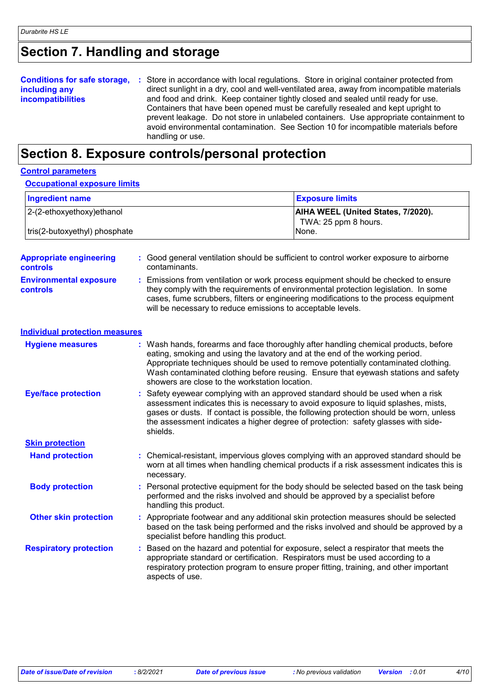# **Section 7. Handling and storage**

|                          | <b>Conditions for safe storage, :</b> Store in accordance with local regulations. Store in original container protected from |
|--------------------------|------------------------------------------------------------------------------------------------------------------------------|
| including any            | direct sunlight in a dry, cool and well-ventilated area, away from incompatible materials                                    |
| <b>incompatibilities</b> | and food and drink. Keep container tightly closed and sealed until ready for use.                                            |
|                          | Containers that have been opened must be carefully resealed and kept upright to                                              |
|                          | prevent leakage. Do not store in unlabeled containers. Use appropriate containment to                                        |
|                          | avoid environmental contamination. See Section 10 for incompatible materials before                                          |
|                          | handling or use.                                                                                                             |

# **Section 8. Exposure controls/personal protection**

| <b>Control parameters</b>                         |  |                                                                                                                                                                                                                                                                                                                                                                                                   |
|---------------------------------------------------|--|---------------------------------------------------------------------------------------------------------------------------------------------------------------------------------------------------------------------------------------------------------------------------------------------------------------------------------------------------------------------------------------------------|
| <b>Occupational exposure limits</b>               |  |                                                                                                                                                                                                                                                                                                                                                                                                   |
| <b>Ingredient name</b>                            |  | <b>Exposure limits</b>                                                                                                                                                                                                                                                                                                                                                                            |
| 2-(2-ethoxyethoxy) ethanol                        |  | AIHA WEEL (United States, 7/2020).<br>TWA: 25 ppm 8 hours.                                                                                                                                                                                                                                                                                                                                        |
| tris(2-butoxyethyl) phosphate                     |  | None.                                                                                                                                                                                                                                                                                                                                                                                             |
| <b>Appropriate engineering</b><br><b>controls</b> |  | : Good general ventilation should be sufficient to control worker exposure to airborne<br>contaminants.                                                                                                                                                                                                                                                                                           |
| <b>Environmental exposure</b><br><b>controls</b>  |  | : Emissions from ventilation or work process equipment should be checked to ensure<br>they comply with the requirements of environmental protection legislation. In some<br>cases, fume scrubbers, filters or engineering modifications to the process equipment<br>will be necessary to reduce emissions to acceptable levels.                                                                   |
| <b>Individual protection measures</b>             |  |                                                                                                                                                                                                                                                                                                                                                                                                   |
| <b>Hygiene measures</b>                           |  | : Wash hands, forearms and face thoroughly after handling chemical products, before<br>eating, smoking and using the lavatory and at the end of the working period.<br>Appropriate techniques should be used to remove potentially contaminated clothing.<br>Wash contaminated clothing before reusing. Ensure that eyewash stations and safety<br>showers are close to the workstation location. |
| <b>Eye/face protection</b>                        |  | Safety eyewear complying with an approved standard should be used when a risk<br>assessment indicates this is necessary to avoid exposure to liquid splashes, mists,<br>gases or dusts. If contact is possible, the following protection should be worn, unless<br>the assessment indicates a higher degree of protection: safety glasses with side-<br>shields.                                  |
| <b>Skin protection</b>                            |  |                                                                                                                                                                                                                                                                                                                                                                                                   |
| <b>Hand protection</b>                            |  | : Chemical-resistant, impervious gloves complying with an approved standard should be<br>worn at all times when handling chemical products if a risk assessment indicates this is<br>necessary.                                                                                                                                                                                                   |
| <b>Body protection</b>                            |  | Personal protective equipment for the body should be selected based on the task being<br>performed and the risks involved and should be approved by a specialist before<br>handling this product.                                                                                                                                                                                                 |
| <b>Other skin protection</b>                      |  | : Appropriate footwear and any additional skin protection measures should be selected<br>based on the task being performed and the risks involved and should be approved by a<br>specialist before handling this product.                                                                                                                                                                         |
| <b>Respiratory protection</b>                     |  | Based on the hazard and potential for exposure, select a respirator that meets the<br>appropriate standard or certification. Respirators must be used according to a<br>respiratory protection program to ensure proper fitting, training, and other important<br>aspects of use.                                                                                                                 |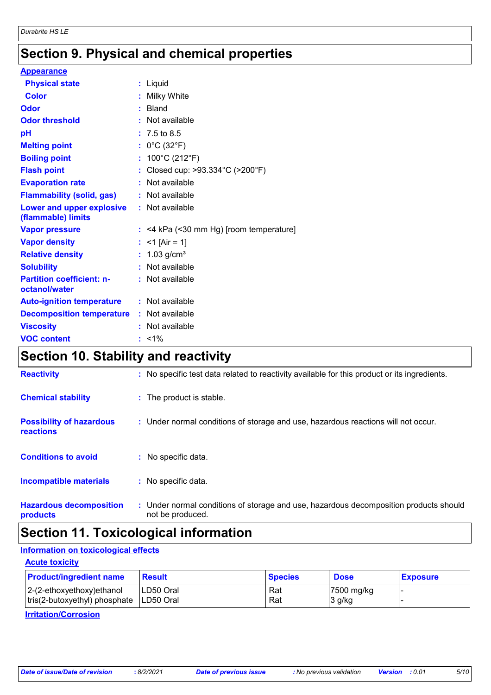# **Section 9. Physical and chemical properties**

| <b>Appearance</b>                                 |                                           |
|---------------------------------------------------|-------------------------------------------|
| <b>Physical state</b>                             | : Liquid                                  |
| <b>Color</b>                                      | : Milky White                             |
| <b>Odor</b>                                       | : Bland                                   |
| <b>Odor threshold</b>                             | : Not available                           |
| pH                                                | $: 7.5 \text{ to } 8.5$                   |
| <b>Melting point</b>                              | : $0^{\circ}$ C (32 $^{\circ}$ F)         |
| <b>Boiling point</b>                              | : $100^{\circ}$ C (212 $^{\circ}$ F)      |
| <b>Flash point</b>                                | : Closed cup: >93.334°C (>200°F)          |
| <b>Evaporation rate</b>                           | : Not available                           |
| <b>Flammability (solid, gas)</b>                  | : Not available                           |
| Lower and upper explosive<br>(flammable) limits   | : Not available                           |
| <b>Vapor pressure</b>                             | $:$ <4 kPa (<30 mm Hg) [room temperature] |
| <b>Vapor density</b>                              | : <1 [Air = 1]                            |
| <b>Relative density</b>                           | : $1.03$ g/cm <sup>3</sup>                |
| <b>Solubility</b>                                 | : Not available                           |
| <b>Partition coefficient: n-</b><br>octanol/water | : Not available                           |
| <b>Auto-ignition temperature</b>                  | : Not available                           |
| <b>Decomposition temperature</b>                  | : Not available                           |
| <b>Viscosity</b>                                  | : Not available                           |
| <b>VOC content</b>                                | $: 1\%$                                   |

# **Section 10. Stability and reactivity**

| <b>Reactivity</b>                            | : No specific test data related to reactivity available for this product or its ingredients.              |
|----------------------------------------------|-----------------------------------------------------------------------------------------------------------|
| <b>Chemical stability</b>                    | : The product is stable.                                                                                  |
| <b>Possibility of hazardous</b><br>reactions | : Under normal conditions of storage and use, hazardous reactions will not occur.                         |
| <b>Conditions to avoid</b>                   | : No specific data.                                                                                       |
| Incompatible materials                       | : No specific data.                                                                                       |
| <b>Hazardous decomposition</b><br>products   | : Under normal conditions of storage and use, hazardous decomposition products should<br>not be produced. |

# **Section 11. Toxicological information**

## **Information on toxicological effects**

**Acute toxicity** 2-(2-ethoxyethoxy)ethanol LD50 Oral Rat Rat 7500 mg/kg tris(2-butoxyethyl) phosphate LD50 Oral Rat Rat 3 g/kg **Product/ingredient name Result Result Result Species Dose Exposure** 

## **Irritation/Corrosion**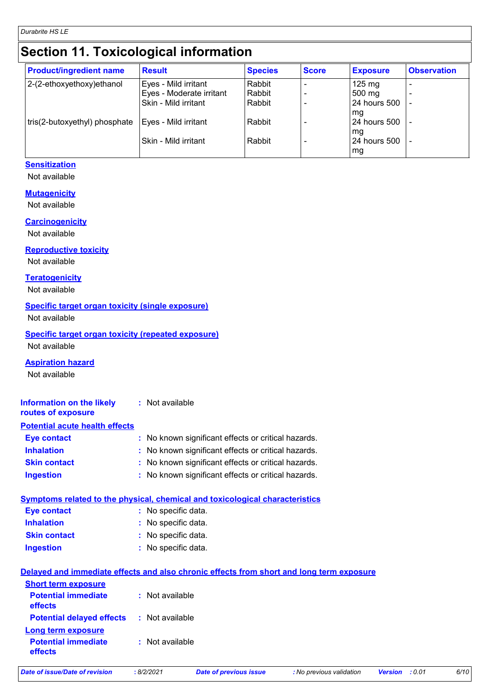# **Section 11. Toxicological information**

| <b>Product/ingredient name</b> | <b>Result</b>            | <b>Species</b> | <b>Score</b> | <b>Exposure</b>     | <b>Observation</b> |
|--------------------------------|--------------------------|----------------|--------------|---------------------|--------------------|
| 2-(2-ethoxyethoxy)ethanol      | Eyes - Mild irritant     | Rabbit         |              | $125 \text{ mg}$    |                    |
|                                | Eyes - Moderate irritant | Rabbit         |              | 500 mg              |                    |
|                                | Skin - Mild irritant     | Rabbit         |              | 24 hours 500        |                    |
|                                |                          |                |              | l mg                |                    |
| tris(2-butoxyethyl) phosphate  | Eyes - Mild irritant     | Rabbit         |              | <b>24 hours 500</b> |                    |
|                                |                          |                |              | mg                  |                    |
|                                | Skin - Mild irritant     | Rabbit         |              | <b>24 hours 500</b> |                    |
|                                |                          |                |              | mg                  |                    |

## **Sensitization**

Not available

### **Mutagenicity**

Not available

#### **Carcinogenicity**

Not available

### **Reproductive toxicity**

Not available

### **Teratogenicity**

Not available

### **Specific target organ toxicity (single exposure)**

Not available

# **Specific target organ toxicity (repeated exposure)**

Not available

## **Aspiration hazard**

Not available

**Ingestion**

#### **Information on the likely routes of exposure :** Not available

## **Potential acute health effects**

| Eye contact         | : No known significant effects or critical hazards. |
|---------------------|-----------------------------------------------------|
| <b>Inhalation</b>   | : No known significant effects or critical hazards. |
| <b>Skin contact</b> | : No known significant effects or critical hazards. |
| <b>Ingestion</b>    | : No known significant effects or critical hazards. |

| Symptoms related to the physical, chemical and toxicological characteristics |                     |  |
|------------------------------------------------------------------------------|---------------------|--|
| Eye contact                                                                  | : No specific data. |  |
| <b>Inhalation</b>                                                            | : No specific data. |  |
| <b>Skin contact</b>                                                          | : No specific data. |  |

# No specific data. **:**

## **Delayed and immediate effects and also chronic effects from short and long term exposure**

| <b>Potential immediate</b><br>: Not available<br>effects<br><b>Potential delayed effects : Not available</b><br><b>Long term exposure</b><br><b>Potential immediate</b><br>: Not available<br>effects | <b>Short term exposure</b> |  |
|-------------------------------------------------------------------------------------------------------------------------------------------------------------------------------------------------------|----------------------------|--|
|                                                                                                                                                                                                       |                            |  |
|                                                                                                                                                                                                       |                            |  |
|                                                                                                                                                                                                       |                            |  |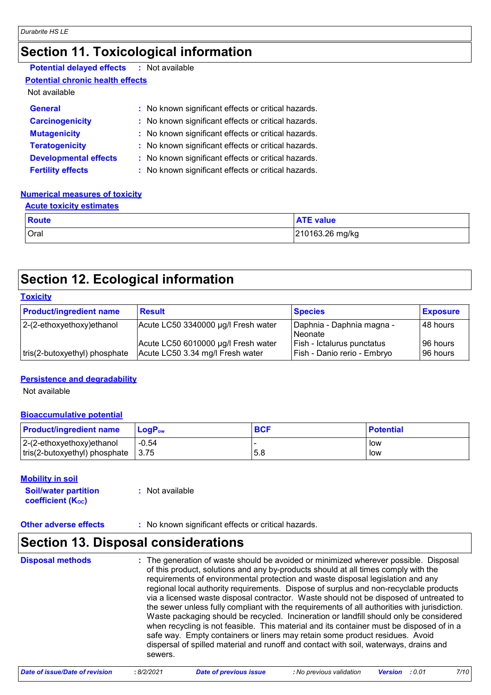# **Section 11. Toxicological information**

| <b>Potential delayed effects</b> | : Not available |
|----------------------------------|-----------------|
| .                                |                 |

# **Potential chronic health effects**

# Not available

| <b>General</b>               | : No known significant effects or critical hazards. |
|------------------------------|-----------------------------------------------------|
| <b>Carcinogenicity</b>       | : No known significant effects or critical hazards. |
| <b>Mutagenicity</b>          | : No known significant effects or critical hazards. |
| <b>Teratogenicity</b>        | : No known significant effects or critical hazards. |
| <b>Developmental effects</b> | : No known significant effects or critical hazards. |
| <b>Fertility effects</b>     | : No known significant effects or critical hazards. |

## **Numerical measures of toxicity**

#### **Acute toxicity estimates**

| <b>Route</b> | <b>ATE value</b> |
|--------------|------------------|
| Oral         | 210163.26 mg/kg  |

# **Section 12. Ecological information**

## **Toxicity**

| <b>Product/ingredient name</b> | <b>Result</b>                                                           | <b>Species</b>                                            | <b>Exposure</b>        |
|--------------------------------|-------------------------------------------------------------------------|-----------------------------------------------------------|------------------------|
| $ 2-(2-ethoxyethoxy)e$ thanol  | Acute LC50 3340000 µg/l Fresh water                                     | Daphnia - Daphnia magna -<br>Neonate                      | 48 hours               |
| tris(2-butoxyethyl) phosphate  | Acute LC50 6010000 µg/l Fresh water<br>Acute LC50 3.34 mg/l Fresh water | Fish - Ictalurus punctatus<br>Fish - Danio rerio - Embryo | 196 hours<br>196 hours |

## **Persistence and degradability**

Not available

## **Bioaccumulative potential**

| <b>Product/ingredient name</b> | $LoaPow$           | <b>BCF</b> | <b>Potential</b> |
|--------------------------------|--------------------|------------|------------------|
| $ 2-(2-ethoxyethoxy)ethanol$   | $-0.54$            |            | low              |
| tris(2-butoxyethyl) phosphate  | $\vert 3.75 \vert$ | .5.8       | low              |

## **Mobility in soil**

| <b>Soil/water partition</b>    | : Not available |
|--------------------------------|-----------------|
| coefficient (K <sub>oc</sub> ) |                 |

## **Other adverse effects** : No known significant effects or critical hazards.

# **Section 13. Disposal considerations**

| <b>Disposal methods</b> | : The generation of waste should be avoided or minimized wherever possible. Disposal<br>of this product, solutions and any by-products should at all times comply with the<br>requirements of environmental protection and waste disposal legislation and any<br>regional local authority requirements. Dispose of surplus and non-recyclable products<br>via a licensed waste disposal contractor. Waste should not be disposed of untreated to<br>the sewer unless fully compliant with the requirements of all authorities with jurisdiction.<br>Waste packaging should be recycled. Incineration or landfill should only be considered<br>when recycling is not feasible. This material and its container must be disposed of in a<br>safe way. Empty containers or liners may retain some product residues. Avoid<br>dispersal of spilled material and runoff and contact with soil, waterways, drains and<br>sewers. |
|-------------------------|----------------------------------------------------------------------------------------------------------------------------------------------------------------------------------------------------------------------------------------------------------------------------------------------------------------------------------------------------------------------------------------------------------------------------------------------------------------------------------------------------------------------------------------------------------------------------------------------------------------------------------------------------------------------------------------------------------------------------------------------------------------------------------------------------------------------------------------------------------------------------------------------------------------------------|
|-------------------------|----------------------------------------------------------------------------------------------------------------------------------------------------------------------------------------------------------------------------------------------------------------------------------------------------------------------------------------------------------------------------------------------------------------------------------------------------------------------------------------------------------------------------------------------------------------------------------------------------------------------------------------------------------------------------------------------------------------------------------------------------------------------------------------------------------------------------------------------------------------------------------------------------------------------------|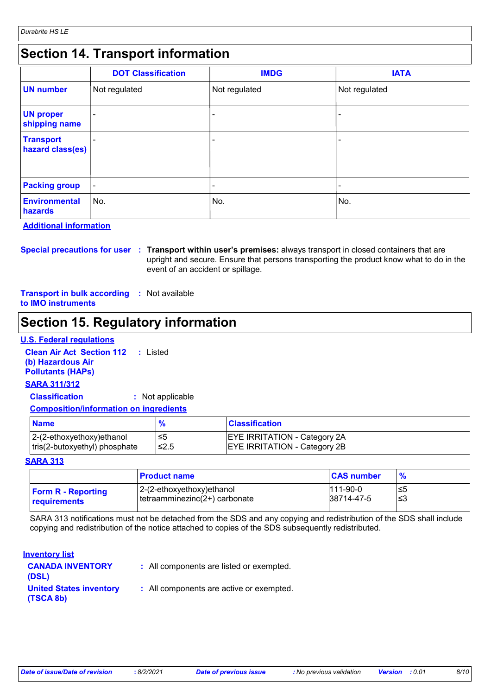# **Section 14. Transport information**

|                                      | <b>DOT Classification</b> | <b>IMDG</b>              | <b>IATA</b>   |
|--------------------------------------|---------------------------|--------------------------|---------------|
| <b>UN number</b>                     | Not regulated             | Not regulated            | Not regulated |
| <b>UN proper</b><br>shipping name    |                           |                          |               |
| <b>Transport</b><br>hazard class(es) |                           | $\overline{\phantom{a}}$ |               |
| <b>Packing group</b>                 | $\blacksquare$            | $\overline{\phantom{0}}$ |               |
| <b>Environmental</b><br>hazards      | ∣No.                      | No.                      | No.           |

**Additional information**

**Special precautions for user Transport within user's premises:** always transport in closed containers that are **:** upright and secure. Ensure that persons transporting the product know what to do in the event of an accident or spillage.

**Transport in bulk according :** Not available **to IMO instruments**

# **Section 15. Regulatory information**

## **U.S. Federal regulations**

**Clean Air Act Section 112 (b) Hazardous Air Pollutants (HAPs) :** Listed **SARA 311/312**

**Classification :** Not applicable

## **Composition/information on ingredients**

| <b>Name</b>                   | $\mathbf{p}_{\alpha}$ | <b>Classification</b>               |
|-------------------------------|-----------------------|-------------------------------------|
| $ 2-(2-ethoxyethoxy)ethanol$  | ≤5                    | <b>EYE IRRITATION - Category 2A</b> |
| tris(2-butoxyethyl) phosphate | ≤2.5                  | <b>EYE IRRITATION - Category 2B</b> |

#### **SARA 313**

|                           | <b>Product name</b>           | <b>CAS number</b> | $\frac{9}{6}$ |
|---------------------------|-------------------------------|-------------------|---------------|
| <b>Form R - Reporting</b> | 2-(2-ethoxyethoxy)ethanol     | $111-90-0$        | ≤5            |
| <b>requirements</b>       | tetraamminezinc(2+) carbonate | 38714-47-5        | ՝≤3           |

SARA 313 notifications must not be detached from the SDS and any copying and redistribution of the SDS shall include copying and redistribution of the notice attached to copies of the SDS subsequently redistributed.

## **Inventory list**

| <b>CANADA INVENTORY</b><br>(DSL)            | : All components are listed or exempted. |
|---------------------------------------------|------------------------------------------|
| <b>United States inventory</b><br>(TSCA 8b) | : All components are active or exempted. |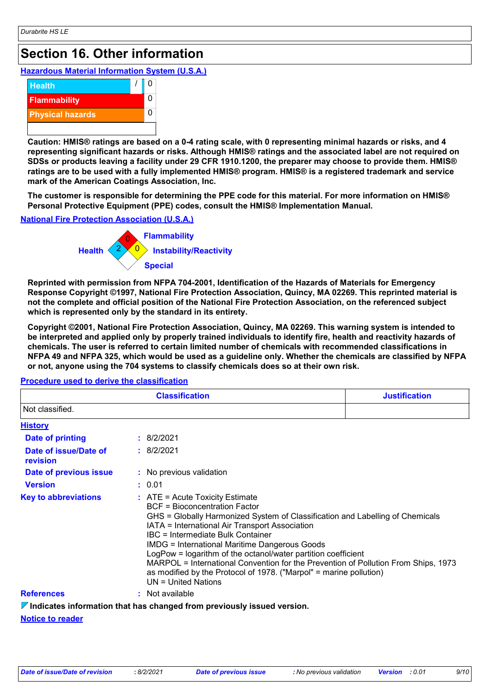# **Section 16. Other information**

## **Hazardous Material Information System (U.S.A.)**



**Caution: HMIS® ratings are based on a 0-4 rating scale, with 0 representing minimal hazards or risks, and 4 representing significant hazards or risks. Although HMIS® ratings and the associated label are not required on SDSs or products leaving a facility under 29 CFR 1910.1200, the preparer may choose to provide them. HMIS® ratings are to be used with a fully implemented HMIS® program. HMIS® is a registered trademark and service mark of the American Coatings Association, Inc.**

**The customer is responsible for determining the PPE code for this material. For more information on HMIS® Personal Protective Equipment (PPE) codes, consult the HMIS® Implementation Manual.**

# **National Fire Protection Association (U.S.A.)**



**Reprinted with permission from NFPA 704-2001, Identification of the Hazards of Materials for Emergency Response Copyright ©1997, National Fire Protection Association, Quincy, MA 02269. This reprinted material is not the complete and official position of the National Fire Protection Association, on the referenced subject which is represented only by the standard in its entirety.**

**Copyright ©2001, National Fire Protection Association, Quincy, MA 02269. This warning system is intended to be interpreted and applied only by properly trained individuals to identify fire, health and reactivity hazards of chemicals. The user is referred to certain limited number of chemicals with recommended classifications in NFPA 49 and NFPA 325, which would be used as a guideline only. Whether the chemicals are classified by NFPA or not, anyone using the 704 systems to classify chemicals does so at their own risk.**

| <b>Classification</b>             |                                                                                                                                                                                                                                                                                                                                                                                                                                                                                                                                                                   | <b>Justification</b> |  |
|-----------------------------------|-------------------------------------------------------------------------------------------------------------------------------------------------------------------------------------------------------------------------------------------------------------------------------------------------------------------------------------------------------------------------------------------------------------------------------------------------------------------------------------------------------------------------------------------------------------------|----------------------|--|
| Not classified.                   |                                                                                                                                                                                                                                                                                                                                                                                                                                                                                                                                                                   |                      |  |
| <b>History</b>                    |                                                                                                                                                                                                                                                                                                                                                                                                                                                                                                                                                                   |                      |  |
| Date of printing                  | : 8/2/2021                                                                                                                                                                                                                                                                                                                                                                                                                                                                                                                                                        |                      |  |
| Date of issue/Date of<br>revision | : 8/2/2021                                                                                                                                                                                                                                                                                                                                                                                                                                                                                                                                                        |                      |  |
| Date of previous issue            | : No previous validation                                                                                                                                                                                                                                                                                                                                                                                                                                                                                                                                          |                      |  |
| <b>Version</b>                    | : 0.01                                                                                                                                                                                                                                                                                                                                                                                                                                                                                                                                                            |                      |  |
| <b>Key to abbreviations</b>       | $\therefore$ ATE = Acute Toxicity Estimate<br>BCF = Bioconcentration Factor<br>GHS = Globally Harmonized System of Classification and Labelling of Chemicals<br>IATA = International Air Transport Association<br>IBC = Intermediate Bulk Container<br><b>IMDG = International Maritime Dangerous Goods</b><br>LogPow = logarithm of the octanol/water partition coefficient<br>MARPOL = International Convention for the Prevention of Pollution From Ships, 1973<br>as modified by the Protocol of 1978. ("Marpol" = marine pollution)<br>$UN = United Nations$ |                      |  |
| <b>References</b>                 | : Not available                                                                                                                                                                                                                                                                                                                                                                                                                                                                                                                                                   |                      |  |
|                                   | $\triangledown$ Indicates information that has changed from previously issued version.                                                                                                                                                                                                                                                                                                                                                                                                                                                                            |                      |  |

## **Procedure used to derive the classification**

## **Notice to reader**